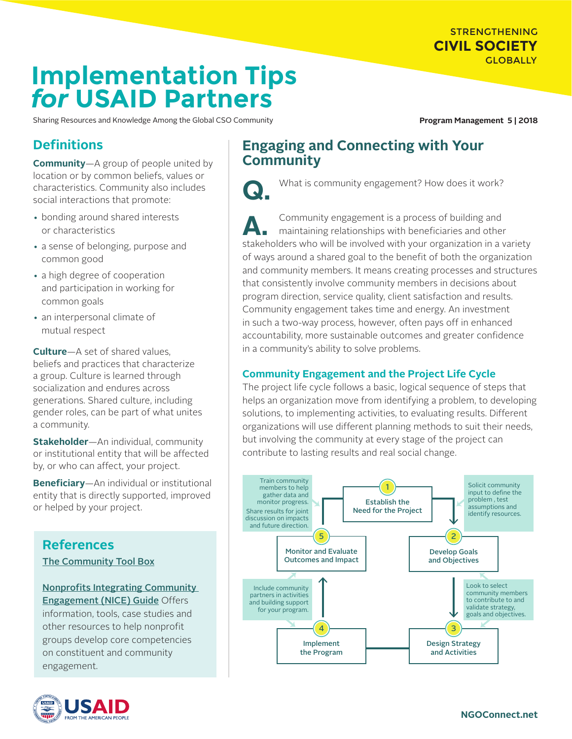STRENGTHENING **CIVIL SOCIETY GLOBALLY** 

# **Implementation Tips** *for* **USAID Partners**

Sharing Resources and Knowledge Among the Global CSO Community **Program Management 5 | 2018** 

# **Definitions**

**Community**—A group of people united by location or by common beliefs, values or characteristics. Community also includes social interactions that promote:

- bonding around shared interests or characteristics
- a sense of belonging, purpose and common good
- a high degree of cooperation and participation in working for common goals
- an interpersonal climate of mutual respect

**Culture**—A set of shared values, beliefs and practices that characterize a group. Culture is learned through socialization and endures across generations. Shared culture, including gender roles, can be part of what unites a community.

**Stakeholder**—An individual, community or institutional entity that will be affected by, or who can affect, your project.

**Beneficiary**—An individual or institutional entity that is directly supported, improved or helped by your project.

### **References**  [The Community Tool Box](https://ctb.ku.edu/en)

[Nonprofits Integrating Community](http://www.buildingmovement.org/pdf/NICE.pdf)  [Engagement \(NICE\) Guide](http://www.buildingmovement.org/pdf/NICE.pdf) Offers information, tools, case studies and other resources to help nonprofit groups develop core competencies on constituent and community engagement.



# **Engaging and Connecting with Your Community**



What is community engagement? How does it work?

**A.** Community engagement is a process of building and maintaining relationships with beneficiaries and other stakeholders who will be involved with your organization in a variety of ways around a shared goal to the benefit of both the organization and community members. It means creating processes and structures that consistently involve community members in decisions about program direction, service quality, client satisfaction and results. Community engagement takes time and energy. An investment in such a two-way process, however, often pays off in enhanced accountability, more sustainable outcomes and greater confidence in a community's ability to solve problems.

### **Community Engagement and the Project Life Cycle**

The project life cycle follows a basic, logical sequence of steps that helps an organization move from identifying a problem, to developing solutions, to implementing activities, to evaluating results. Different organizations will use different planning methods to suit their needs, but involving the community at every stage of the project can contribute to lasting results and real social change.

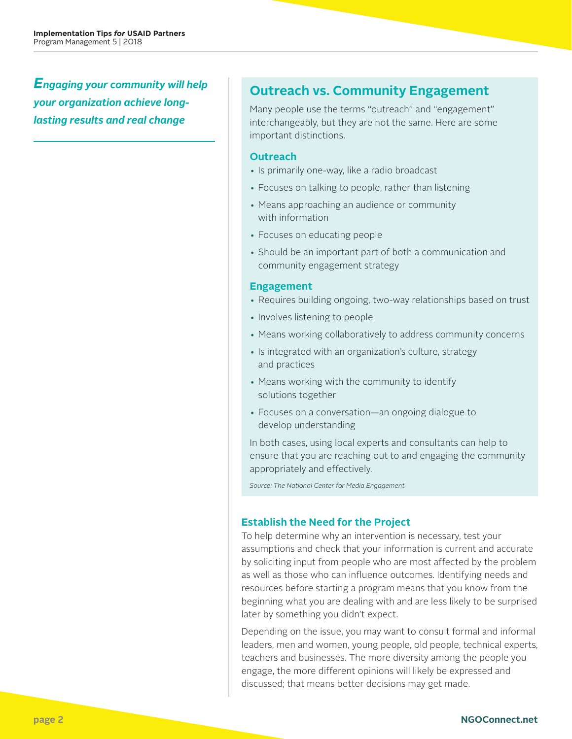*Engaging your community will help your organization achieve longlasting results and real change*

## **Outreach vs. Community Engagement**

Many people use the terms "outreach" and "engagement" interchangeably, but they are not the same. Here are some important distinctions.

#### **Outreach**

- Is primarily one-way, like a radio broadcast
- Focuses on talking to people, rather than listening
- Means approaching an audience or community with information
- Focuses on educating people
- Should be an important part of both a communication and community engagement strategy

#### **Engagement**

- Requires building ongoing, two-way relationships based on trust
- Involves listening to people
- Means working collaboratively to address community concerns
- Is integrated with an organization's culture, strategy and practices
- Means working with the community to identify solutions together
- Focuses on a conversation—an ongoing dialogue to develop understanding

In both cases, using local experts and consultants can help to ensure that you are reaching out to and engaging the community appropriately and effectively.

*Source: The National Center for Media Engagement*

#### **Establish the Need for the Project**

To help determine why an intervention is necessary, test your assumptions and check that your information is current and accurate by soliciting input from people who are most affected by the problem as well as those who can influence outcomes. Identifying needs and resources before starting a program means that you know from the beginning what you are dealing with and are less likely to be surprised later by something you didn't expect.

Depending on the issue, you may want to consult formal and informal leaders, men and women, young people, old people, technical experts, teachers and businesses. The more diversity among the people you engage, the more different opinions will likely be expressed and discussed; that means better decisions may get made.